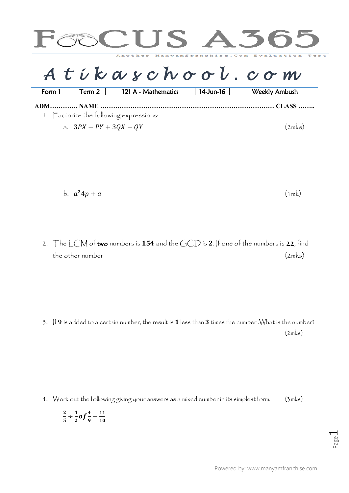

$$
b. \quad a^2 4p + a \tag{1mk}
$$

2. The LCM of two numbers is 154 and the GCD is 2. If one of the numbers is 22, find the other number (2mks)

3. If 9 is added to a certain number, the result is 1 less than 3 times the number .What is the number?  $(2mks)$ 

4. Work out the following giving your answers as a mixed number in its simplest form. (3mks)

$$
\frac{2}{5} \div \frac{1}{2} of \frac{4}{9} - \frac{11}{10}
$$

 $\ddot{\phantom{0}}$ 

Powered by: [www.manyamfranchise.com](http://www.manyamfranchise.com/)

Page  $\overline{\phantom{0}}$